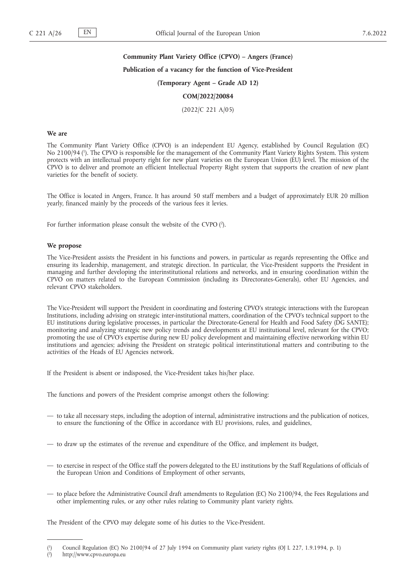# **Community Plant Variety Office (CPVO) – Angers (France) Publication of a vacancy for the function of Vice-President (Temporary Agent – Grade AD 12) COM/2022/20084**

(2022/C 221 A/05)

#### **We are**

The Community Plant Variety Office (CPVO) is an independent EU Agency, established by Council Regulation (EC) No 2100/94 ( 1 ). The CPVO is responsible for the management of the Community Plant Variety Rights System. This system protects with an intellectual property right for new plant varieties on the European Union (EU) level. The mission of the CPVO is to deliver and promote an efficient Intellectual Property Right system that supports the creation of new plant varieties for the benefit of society.

The Office is located in Angers, France. It has around 50 staff members and a budget of approximately EUR 20 million yearly, financed mainly by the proceeds of the various fees it levies.

For further information please consult the website of the CVPO (2).

#### **We propose**

The Vice-President assists the President in his functions and powers, in particular as regards representing the Office and ensuring its leadership, management, and strategic direction. In particular, the Vice-President supports the President in managing and further developing the interinstitutional relations and networks, and in ensuring coordination within the CPVO on matters related to the European Commission (including its Directorates-Generals), other EU Agencies, and relevant CPVO stakeholders.

The Vice-President will support the President in coordinating and fostering CPVO's strategic interactions with the European Institutions, including advising on strategic inter-institutional matters, coordination of the CPVO's technical support to the EU institutions during legislative processes, in particular the Directorate-General for Health and Food Safety (DG SANTE); monitoring and analyzing strategic new policy trends and developments at EU institutional level, relevant for the CPVO; promoting the use of CPVO's expertise during new EU policy development and maintaining effective networking within EU institutions and agencies; advising the President on strategic political interinstitutional matters and contributing to the activities of the Heads of EU Agencies network.

If the President is absent or indisposed, the Vice-President takes his/her place.

The functions and powers of the President comprise amongst others the following:

- to take all necessary steps, including the adoption of internal, administrative instructions and the publication of notices, to ensure the functioning of the Office in accordance with EU provisions, rules, and guidelines,
- to draw up the estimates of the revenue and expenditure of the Office, and implement its budget,
- to exercise in respect of the Office staff the powers delegated to the EU institutions by the Staff Regulations of officials of the European Union and Conditions of Employment of other servants,
- to place before the Administrative Council draft amendments to Regulation (EC) No 2100/94, the Fees Regulations and other implementing rules, or any other rules relating to Community plant variety rights.

The President of the CPVO may delegate some of his duties to the Vice-President.

 $($ <sup>1</sup> ) Council Regulation (EC) No 2100/94 of 27 July 1994 on Community plant variety rights (OJ L 227, 1.9.1994, p. 1)

 $(2)$ ) http://www.cpvo.europa.eu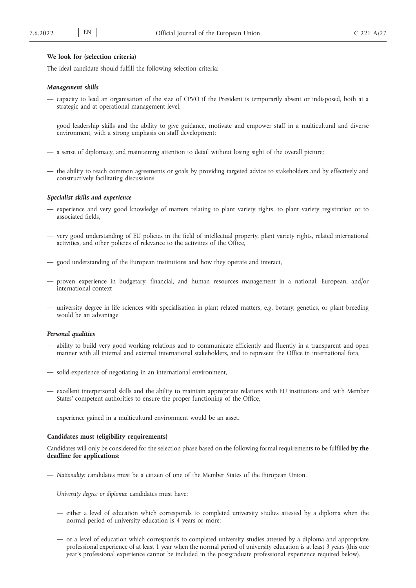#### **We look for (selection criteria)**

The ideal candidate should fulfill the following selection criteria:

#### *Management skills*

- capacity to lead an organisation of the size of CPVO if the President is temporarily absent or indisposed, both at a strategic and at operational management level,
- good leadership skills and the ability to give guidance, motivate and empower staff in a multicultural and diverse environment, with a strong emphasis on staff development;
- a sense of diplomacy, and maintaining attention to detail without losing sight of the overall picture;
- the ability to reach common agreements or goals by providing targeted advice to stakeholders and by effectively and constructively facilitating discussions

#### *Specialist skills and experience*

- experience and very good knowledge of matters relating to plant variety rights, to plant variety registration or to associated fields,
- very good understanding of EU policies in the field of intellectual property, plant variety rights, related international activities, and other policies of relevance to the activities of the Office,
- good understanding of the European institutions and how they operate and interact,
- proven experience in budgetary, financial, and human resources management in a national, European, and/or international context
- university degree in life sciences with specialisation in plant related matters, e.g. botany, genetics, or plant breeding would be an advantage

# *Personal qualities*

- ability to build very good working relations and to communicate efficiently and fluently in a transparent and open manner with all internal and external international stakeholders, and to represent the Office in international fora,
- solid experience of negotiating in an international environment,
- excellent interpersonal skills and the ability to maintain appropriate relations with EU institutions and with Member States' competent authorities to ensure the proper functioning of the Office,
- experience gained in a multicultural environment would be an asset.

#### **Candidates must (eligibility requirements)**

Candidates will only be considered for the selection phase based on the following formal requirements to be fulfilled **by the deadline for applications**:

- *Nationality:* candidates must be a citizen of one of the Member States of the European Union.
- *University degree or diploma*: candidates must have:
	- either a level of education which corresponds to completed university studies attested by a diploma when the normal period of university education is 4 years or more;
	- or a level of education which corresponds to completed university studies attested by a diploma and appropriate professional experience of at least 1 year when the normal period of university education is at least 3 years (this one year's professional experience cannot be included in the postgraduate professional experience required below).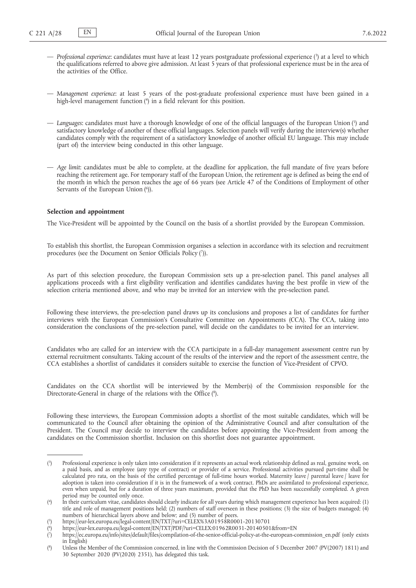- *Professional experience*: candidates must have at least 12 years postgraduate professional experience ( 3 ) at a level to which the qualifications referred to above give admission. At least 5 years of that professional experience must be in the area of the activities of the Office.
- *Management experience*: at least 5 years of the post-graduate professional experience must have been gained in a high-level management function ( 4 ) in a field relevant for this position.
- *Languages*: candidates must have a thorough knowledge of one of the official languages of the European Union ( 5 ) and satisfactory knowledge of another of these official languages. Selection panels will verify during the interview(s) whether candidates comply with the requirement of a satisfactory knowledge of another official EU language. This may include (part of) the interview being conducted in this other language.
- *Age limit*: candidates must be able to complete, at the deadline for application, the full mandate of five years before reaching the retirement age. For temporary staff of the European Union, the retirement age is defined as being the end of the month in which the person reaches the age of 66 years (see Article 47 of the Conditions of Employment of other Servants of the European Union (6)).

#### **Selection and appointment**

The Vice-President will be appointed by the Council on the basis of a shortlist provided by the European Commission.

To establish this shortlist, the European Commission organises a selection in accordance with its selection and recruitment procedures (see the Document on Senior Officials Policy (7)).

As part of this selection procedure, the European Commission sets up a pre-selection panel. This panel analyses all applications proceeds with a first eligibility verification and identifies candidates having the best profile in view of the selection criteria mentioned above, and who may be invited for an interview with the pre-selection panel.

Following these interviews, the pre-selection panel draws up its conclusions and proposes a list of candidates for further interviews with the European Commission's Consultative Committee on Appointments (CCA). The CCA, taking into consideration the conclusions of the pre-selection panel, will decide on the candidates to be invited for an interview.

Candidates who are called for an interview with the CCA participate in a full-day management assessment centre run by external recruitment consultants. Taking account of the results of the interview and the report of the assessment centre, the CCA establishes a shortlist of candidates it considers suitable to exercise the function of Vice-President of CPVO.

Candidates on the CCA shortlist will be interviewed by the Member(s) of the Commission responsible for the Directorate-General in charge of the relations with the Office (8).

Following these interviews, the European Commission adopts a shortlist of the most suitable candidates, which will be communicated to the Council after obtaining the opinion of the Administrative Council and after consultation of the President. The Council may decide to interview the candidates before appointing the Vice-President from among the candidates on the Commission shortlist. Inclusion on this shortlist does not guarantee appointment.

<sup>(</sup> 3 ) Professional experience is only taken into consideration if it represents an actual work relationship defined as real, genuine work, on a paid basis, and as employee (any type of contract) or provider of a service. Professional activities pursued part-time shall be calculated pro rata, on the basis of the certified percentage of full-time hours worked. Maternity leave / parental leave / leave for adoption is taken into consideration if it is in the framework of a work contract. PhDs are assimilated to professional experience, even when unpaid, but for a duration of three years maximum, provided that the PhD has been successfully completed. A given period may be counted only once.

 $($ <sup>4</sup> ) In their curriculum vitae, candidates should clearly indicate for all years during which management experience has been acquired: (1) title and role of management positions held; (2) numbers of staff overseen in these positions; (3) the size of budgets managed; (4) numbers of hierarchical layers above and below; and (5) number of peers.

<sup>(</sup> 5 ) https://eur-lex.europa.eu/legal-content/EN/TXT/?uri=CELEX%3A01958R0001-20130701

<sup>(</sup> 6 ) https://eur-lex.europa.eu/legal-content/EN/TXT/PDF/?uri=CELEX:01962R0031-20140501&from=EN

<sup>(</sup> 7 ) https://ec.europa.eu/info/sites/default/files/compilation-of-the-senior-official-policy-at-the-european-commission\_en.pdf (only exists in English)

<sup>(</sup> 8 ) Unless the Member of the Commission concerned, in line with the Commission Decision of 5 December 2007 (PV(2007) 1811) and 30 September 2020 (PV(2020) 2351), has delegated this task.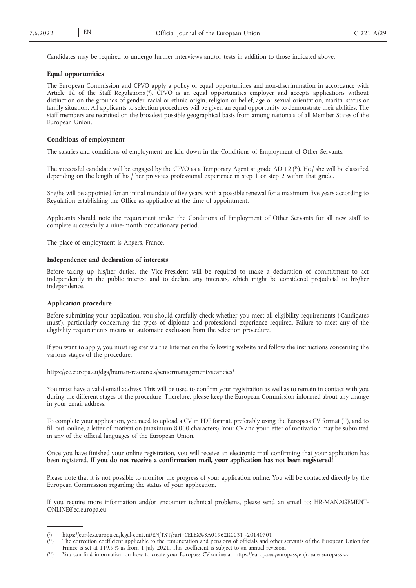Candidates may be required to undergo further interviews and/or tests in addition to those indicated above.

#### **Equal opportunities**

The European Commission and CPVO apply a policy of equal opportunities and non-discrimination in accordance with Article 1d of the Staff Regulations ( 9 ). CPVO is an equal opportunities employer and accepts applications without distinction on the grounds of gender, racial or ethnic origin, religion or belief, age or sexual orientation, marital status or family situation. All applicants to selection procedures will be given an equal opportunity to demonstrate their abilities. The staff members are recruited on the broadest possible geographical basis from among nationals of all Member States of the European Union.

### **Conditions of employment**

The salaries and conditions of employment are laid down in the Conditions of Employment of Other Servants.

The successful candidate will be engaged by the CPVO as a Temporary Agent at grade AD 12  $(^{10})$ . He / she will be classified depending on the length of his / her previous professional experience in step 1 or step 2 within that grade.

She/he will be appointed for an initial mandate of five years, with a possible renewal for a maximum five years according to Regulation establishing the Office as applicable at the time of appointment.

Applicants should note the requirement under the Conditions of Employment of Other Servants for all new staff to complete successfully a nine-month probationary period.

The place of employment is Angers, France.

# **Independence and declaration of interests**

Before taking up his/her duties, the Vice-President will be required to make a declaration of commitment to act independently in the public interest and to declare any interests, which might be considered prejudicial to his/her independence.

# **Application procedure**

Before submitting your application, you should carefully check whether you meet all eligibility requirements ('Candidates must'), particularly concerning the types of diploma and professional experience required. Failure to meet any of the eligibility requirements means an automatic exclusion from the selection procedure.

If you want to apply, you must register via the Internet on the following website and follow the instructions concerning the various stages of the procedure:

https://ec.europa.eu/dgs/human-resources/seniormanagementvacancies/

You must have a valid email address. This will be used to confirm your registration as well as to remain in contact with you during the different stages of the procedure. Therefore, please keep the European Commission informed about any change in your email address.

To complete your application, you need to upload a CV in PDF format, preferably using the Europass CV format (<sup>11</sup>), and to fill out, online, a letter of motivation (maximum 8 000 characters). Your CV and your letter of motivation may be submitted in any of the official languages of the European Union.

Once you have finished your online registration, you will receive an electronic mail confirming that your application has been registered. **If you do not receive a confirmation mail, your application has not been registered!**

Please note that it is not possible to monitor the progress of your application online. You will be contacted directly by the European Commission regarding the status of your application.

If you require more information and/or encounter technical problems, please send an email to: HR-MANAGEMENT-ONLINE@ec.europa.eu

<sup>(</sup> 9 ) https://eur-lex.europa.eu/legal-content/EN/TXT/?uri=CELEX%3A01962R0031 -20140701

 $(10)$ 10) The correction coefficient applicable to the remuneration and pensions of officials and other servants of the European Union for France is set at 119,9 % as from 1 July 2021. This coefficient is subject to an annual revision.

 $(11)$ 11) You can find information on how to create your Europass CV online at: https://europa.eu/europass/en/create-europass-cv